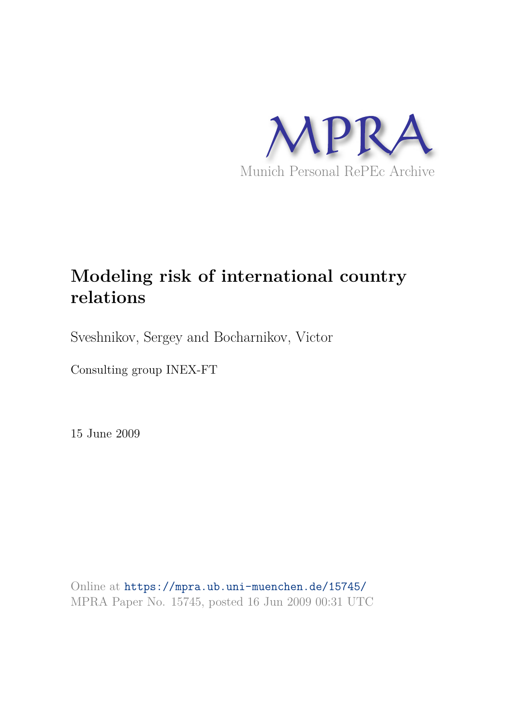

# **Modeling risk of international country relations**

Sveshnikov, Sergey and Bocharnikov, Victor

Consulting group INEX-FT

15 June 2009

Online at https://mpra.ub.uni-muenchen.de/15745/ MPRA Paper No. 15745, posted 16 Jun 2009 00:31 UTC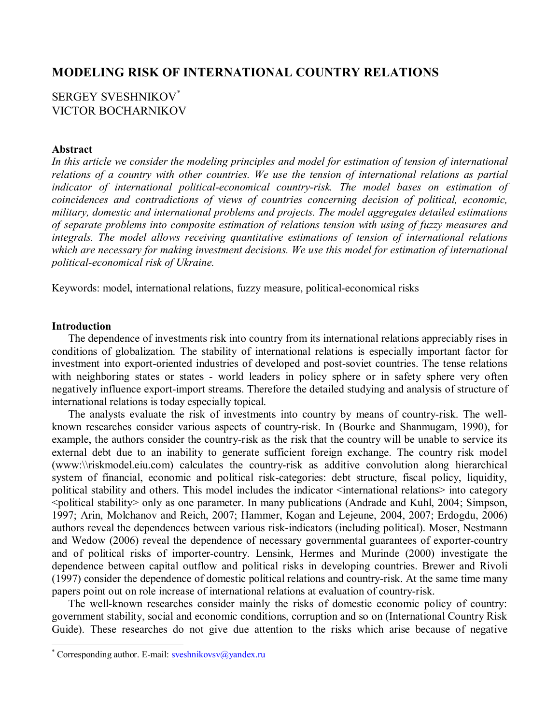# **MODELING RISK OF INTERNATIONAL COUNTRY RELATIONS**

# SERGEY SVESHNIKOV\* VICTOR BOCHARNIKOV

## **Abstract**

*In this article we consider the modeling principles and model for estimation of tension of international relations of a country with other countries. We use the tension of international relations as partial indicator of international political-economical country-risk. The model bases on estimation of coincidences and contradictions of views of countries concerning decision of political, economic, military, domestic and international problems and projects. The model aggregates detailed estimations of separate problems into composite estimation of relations tension with using of fuzzy measures and integrals. The model allows receiving quantitative estimations of tension of international relations which are necessary for making investment decisions. We use this model for estimation of international political-economical risk of Ukraine.*

Keywords: model, international relations, fuzzy measure, political-economical risks

## **Introduction**

The dependence of investments risk into country from its international relations appreciably rises in conditions of globalization. The stability of international relations is especially important factor for investment into export-oriented industries of developed and post-soviet countries. The tense relations with neighboring states or states - world leaders in policy sphere or in safety sphere very often negatively influence export-import streams. Therefore the detailed studying and analysis of structure of international relations is today especially topical.

The analysts evaluate the risk of investments into country by means of country-risk. The wellknown researches consider various aspects of country-risk. In (Bourke and Shanmugam, 1990), for example, the authors consider the country-risk as the risk that the country will be unable to service its external debt due to an inability to generate sufficient foreign exchange. The country risk model (www:\\riskmodel.eiu.com) calculates the country-risk as additive convolution along hierarchical system of financial, economic and political risk-categories: debt structure, fiscal policy, liquidity, political stability and others. This model includes the indicator <international relations> into category <political stability> only as one parameter. In many publications (Andrade and Kuhl, 2004; Simpson, 1997; Arin, Molchanov and Reich, 2007; Hammer, Kogan and Lejeune, 2004, 2007; Erdogdu, 2006) authors reveal the dependences between various risk-indicators (including political). Moser, Nestmann and Wedow (2006) reveal the dependence of necessary governmental guarantees of exporter-country and of political risks of importer-country. Lensink, Hermes and Murinde (2000) investigate the dependence between capital outflow and political risks in developing countries. Brewer and Rivoli (1997) consider the dependence of domestic political relations and country-risk. At the same time many papers point out on role increase of international relations at evaluation of country-risk.

The well-known researches consider mainly the risks of domestic economic policy of country: government stability, social and economic conditions, corruption and so on (International Country Risk Guide). These researches do not give due attention to the risks which arise because of negative

<sup>\*</sup> Corresponding author. E-mail: **sveshnikovsv@yandex.ru**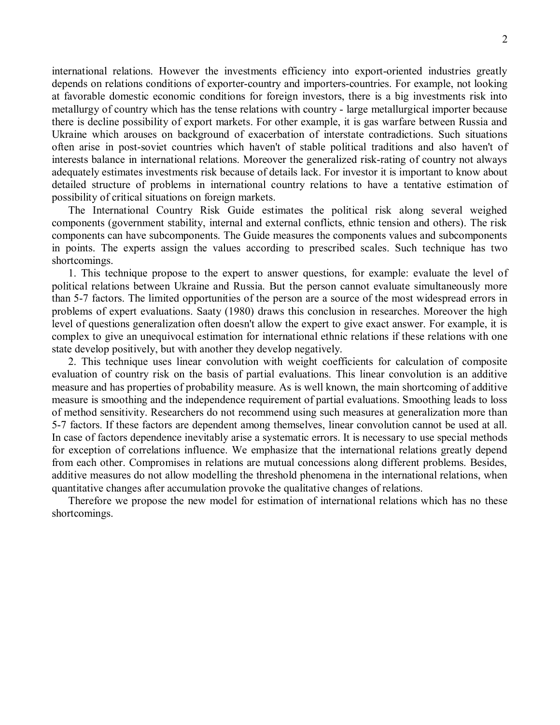international relations. However the investments efficiency into export-oriented industries greatly depends on relations conditions of exporter-country and importers-countries. For example, not looking at favorable domestic economic conditions for foreign investors, there is a big investments risk into metallurgy of country which has the tense relations with country - large metallurgical importer because there is decline possibility of export markets. For other example, it is gas warfare between Russia and Ukraine which arouses on background of exacerbation of interstate contradictions. Such situations often arise in post-soviet countries which haven't of stable political traditions and also haven't of interests balance in international relations. Moreover the generalized risk-rating of country not always adequately estimates investments risk because of details lack. For investor it is important to know about detailed structure of problems in international country relations to have a tentative estimation of possibility of critical situations on foreign markets.

The International Country Risk Guide estimates the political risk along several weighed components (government stability, internal and external conflicts, ethnic tension and others). The risk components can have subcomponents. The Guide measures the components values and subcomponents in points. The experts assign the values according to prescribed scales. Such technique has two shortcomings.

1. This technique propose to the expert to answer questions, for example: evaluate the level of political relations between Ukraine and Russia. But the person cannot evaluate simultaneously more than 5-7 factors. The limited opportunities of the person are a source of the most widespread errors in problems of expert evaluations. Saaty (1980) draws this conclusion in researches. Moreover the high level of questions generalization often doesn't allow the expert to give exact answer. For example, it is complex to give an unequivocal estimation for international ethnic relations if these relations with one state develop positively, but with another they develop negatively.

2. This technique uses linear convolution with weight coefficients for calculation of composite evaluation of country risk on the basis of partial evaluations. This linear convolution is an additive measure and has properties of probability measure. As is well known, the main shortcoming of additive measure is smoothing and the independence requirement of partial evaluations. Smoothing leads to loss of method sensitivity. Researchers do not recommend using such measures at generalization more than 5-7 factors. If these factors are dependent among themselves, linear convolution cannot be used at all. In case of factors dependence inevitably arise a systematic errors. It is necessary to use special methods for exception of correlations influence. We emphasize that the international relations greatly depend from each other. Compromises in relations are mutual concessions along different problems. Besides, additive measures do not allow modelling the threshold phenomena in the international relations, when quantitative changes after accumulation provoke the qualitative changes of relations.

Therefore we propose the new model for estimation of international relations which has no these shortcomings.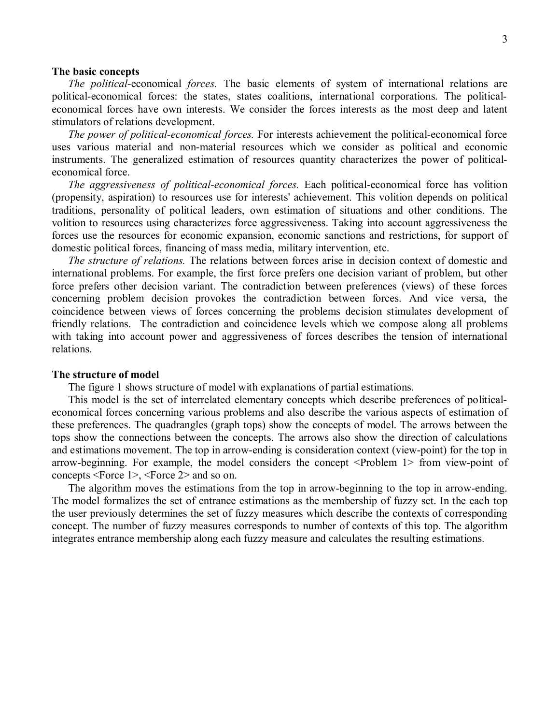#### **The basic concepts**

*The political-*economical *forces.* The basic elements of system of international relations are political-economical forces: the states, states coalitions, international corporations. The politicaleconomical forces have own interests. We consider the forces interests as the most deep and latent stimulators of relations development.

*The power of political-economical forces.* For interests achievement the political-economical force uses various material and non-material resources which we consider as political and economic instruments. The generalized estimation of resources quantity characterizes the power of politicaleconomical force.

*The aggressiveness of political-economical forces.* Each political-economical force has volition (propensity, aspiration) to resources use for interests' achievement. This volition depends on political traditions, personality of political leaders, own estimation of situations and other conditions. The volition to resources using characterizes force aggressiveness. Taking into account aggressiveness the forces use the resources for economic expansion, economic sanctions and restrictions, for support of domestic political forces, financing of mass media, military intervention, etc.

*The structure of relations.* The relations between forces arise in decision context of domestic and international problems. For example, the first force prefers one decision variant of problem, but other force prefers other decision variant. The contradiction between preferences (views) of these forces concerning problem decision provokes the contradiction between forces. And vice versa, the coincidence between views of forces concerning the problems decision stimulates development of friendly relations. The contradiction and coincidence levels which we compose along all problems with taking into account power and aggressiveness of forces describes the tension of international relations.

### **The structure of model**

The figure 1 shows structure of model with explanations of partial estimations.

This model is the set of interrelated elementary concepts which describe preferences of politicaleconomical forces concerning various problems and also describe the various aspects of estimation of these preferences. The quadrangles (graph tops) show the concepts of model. The arrows between the tops show the connections between the concepts. The arrows also show the direction of calculations and estimations movement. The top in arrow-ending is consideration context (view-point) for the top in arrow-beginning. For example, the model considers the concept <Problem 1> from view-point of concepts <Force 1>, <Force 2> and so on.

The algorithm moves the estimations from the top in arrow-beginning to the top in arrow-ending. The model formalizes the set of entrance estimations as the membership of fuzzy set. In the each top the user previously determines the set of fuzzy measures which describe the contexts of corresponding concept. The number of fuzzy measures corresponds to number of contexts of this top. The algorithm integrates entrance membership along each fuzzy measure and calculates the resulting estimations.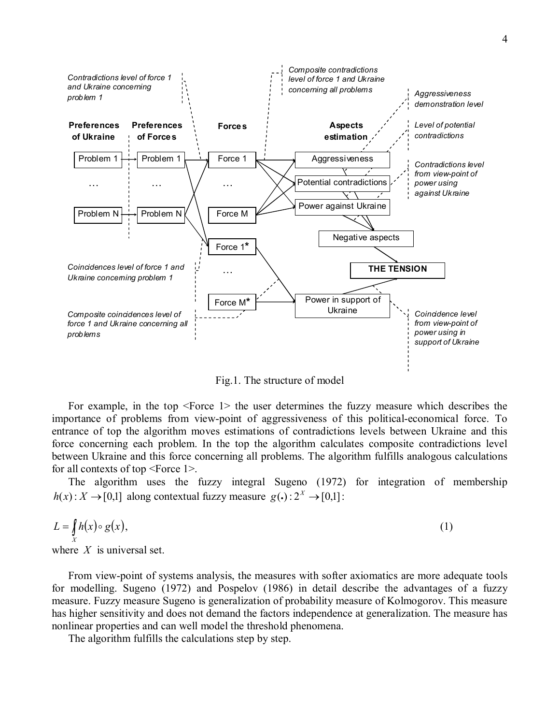

Fig.1. The structure of model

For example, in the top <Force 1> the user determines the fuzzy measure which describes the importance of problems from view-point of aggressiveness of this political-economical force. To entrance of top the algorithm moves estimations of contradictions levels between Ukraine and this force concerning each problem. In the top the algorithm calculates composite contradictions level between Ukraine and this force concerning all problems. The algorithm fulfills analogous calculations for all contexts of top <Force 1>.

The algorithm uses the fuzzy integral Sugeno (1972) for integration of membership  $h(x): X \to [0,1]$  along contextual fuzzy measure  $g(\cdot): 2^X \to [0,1]$ :

$$
L = \int\limits_X h(x) \circ g(x),\tag{1}
$$

where *X* is universal set.

From view-point of systems analysis, the measures with softer axiomatics are more adequate tools for modelling. Sugeno (1972) and Pospelov (1986) in detail describe the advantages of a fuzzy measure. Fuzzy measure Sugeno is generalization of probability measure of Kolmogorov. This measure has higher sensitivity and does not demand the factors independence at generalization. The measure has nonlinear properties and can well model the threshold phenomena.

The algorithm fulfills the calculations step by step.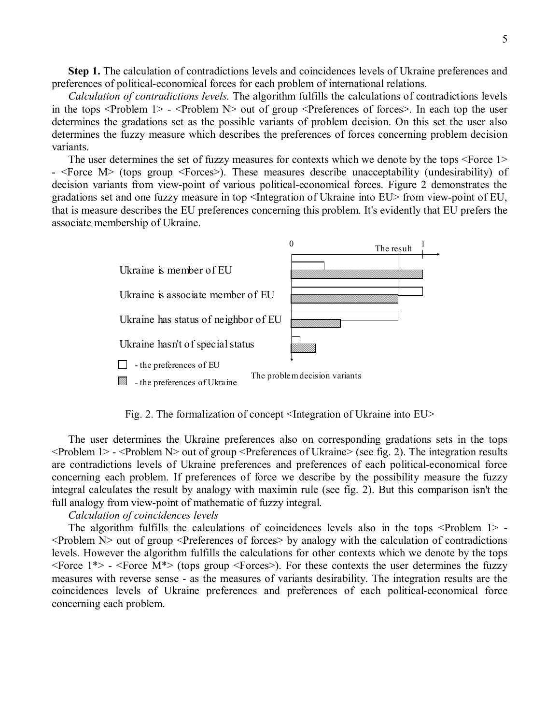**Step 1.** The calculation of contradictions levels and coincidences levels of Ukraine preferences and preferences of political-economical forces for each problem of international relations.

*Calculation of contradictions levels.* The algorithm fulfills the calculations of contradictions levels in the tops  $\leq$ Problem 1> -  $\leq$ Problem N $>$  out of group  $\leq$ Preferences of forces $\geq$ . In each top the user determines the gradations set as the possible variants of problem decision. On this set the user also determines the fuzzy measure which describes the preferences of forces concerning problem decision variants.

The user determines the set of fuzzy measures for contexts which we denote by the tops <Force 1> - <Force M> (tops group <Forces>). These measures describe unacceptability (undesirability) of decision variants from view-point of various political-economical forces. Figure 2 demonstrates the gradations set and one fuzzy measure in top <Integration of Ukraine into EU> from view-point of EU, that is measure describes the EU preferences concerning this problem. It's evidently that EU prefers the associate membership of Ukraine.



Fig. 2. The formalization of concept <Integration of Ukraine into EU>

The user determines the Ukraine preferences also on corresponding gradations sets in the tops <Problem 1> - <Problem N> out of group <Preferences of Ukraine> (see fig. 2). The integration results are contradictions levels of Ukraine preferences and preferences of each political-economical force concerning each problem. If preferences of force we describe by the possibility measure the fuzzy integral calculates the result by analogy with maximin rule (see fig. 2). But this comparison isn't the full analogy from view-point of mathematic of fuzzy integral.

#### *Calculation of coincidences levels*

The algorithm fulfills the calculations of coincidences levels also in the tops <Problem 1> - $\leq$ Problem N $>$  out of group  $\leq$ Preferences of forces $>$  by analogy with the calculation of contradictions levels. However the algorithm fulfills the calculations for other contexts which we denote by the tops  $\leq$  Force 1\*> -  $\leq$  Force M\*> (tops group  $\leq$  Forces>). For these contexts the user determines the fuzzy measures with reverse sense - as the measures of variants desirability. The integration results are the coincidences levels of Ukraine preferences and preferences of each political-economical force concerning each problem.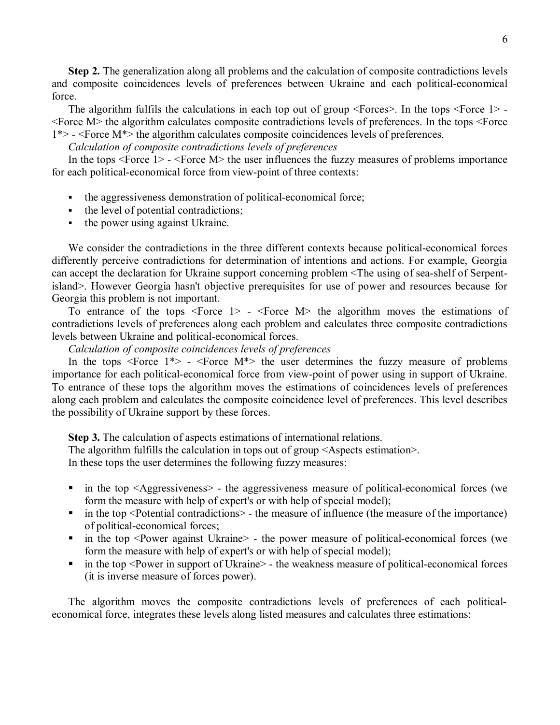**Step 2.** The generalization along all problems and the calculation of composite contradictions levels and composite coincidences levels of preferences between Ukraine and each political-economical force.

The algorithm fulfils the calculations in each top out of group <Forces>. In the tops <Force 1> - <Force M> the algorithm calculates composite contradictions levels of preferences. In the tops <Force 1\*> - <Force M\*> the algorithm calculates composite coincidences levels of preferences.

## *Calculation of composite contradictions levels of preferences*

In the tops <Force 1> - <Force M> the user influences the fuzzy measures of problems importance for each political-economical force from view-point of three contexts:

- the aggressiveness demonstration of political-economical force;
- the level of potential contradictions;
- the power using against Ukraine.

We consider the contradictions in the three different contexts because political-economical forces differently perceive contradictions for determination of intentions and actions. For example, Georgia can accept the declaration for Ukraine support concerning problem <The using of sea-shelf of Serpentisland>. However Georgia hasn't objective prerequisites for use of power and resources because for Georgia this problem is not important.

To entrance of the tops  $\leq$  Force 1> -  $\leq$  Force M $>$  the algorithm moves the estimations of contradictions levels of preferences along each problem and calculates three composite contradictions levels between Ukraine and political-economical forces.

*Calculation of composite coincidences levels of preferences*

In the tops  $\leq$  Force 1\*> -  $\leq$  Force M\*> the user determines the fuzzy measure of problems importance for each political-economical force from view-point of power using in support of Ukraine. To entrance of these tops the algorithm moves the estimations of coincidences levels of preferences along each problem and calculates the composite coincidence level of preferences. This level describes the possibility of Ukraine support by these forces.

**Step 3.** The calculation of aspects estimations of international relations.

The algorithm fulfills the calculation in tops out of group <Aspects estimation>.

In these tops the user determines the following fuzzy measures:

- in the top <Aggressiveness> the aggressiveness measure of political-economical forces (we form the measure with help of expert's or with help of special model);
- in the top <Potential contradictions> the measure of influence (the measure of the importance) of political-economical forces;
- in the top <Power against Ukraine> the power measure of political-economical forces (we form the measure with help of expert's or with help of special model);
- in the top <Power in support of Ukraine> the weakness measure of political-economical forces (it is inverse measure of forces power).

The algorithm moves the composite contradictions levels of preferences of each politicaleconomical force, integrates these levels along listed measures and calculates three estimations: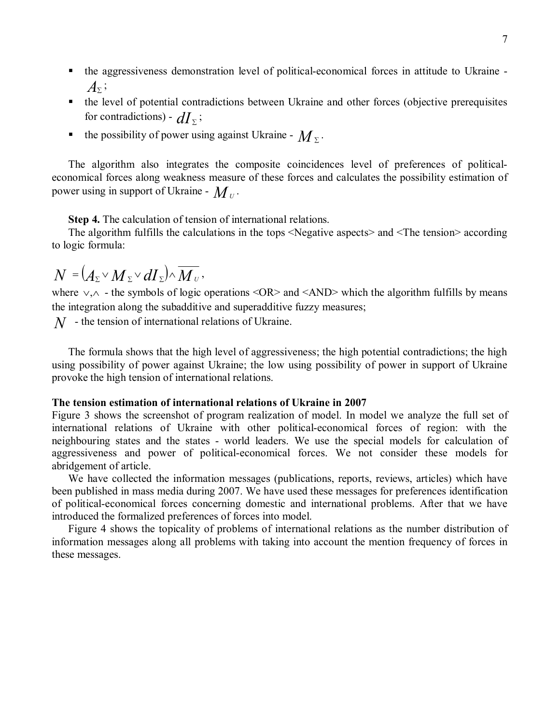- the aggressiveness demonstration level of political-economical forces in attitude to Ukraine - $A_{\Sigma}$ <sup>;</sup>
- the level of potential contradictions between Ukraine and other forces (objective prerequisites for contradictions) -  $dI_{\Sigma}$ ;
- the possibility of power using against Ukraine  $M_z$ .

The algorithm also integrates the composite coincidences level of preferences of politicaleconomical forces along weakness measure of these forces and calculates the possibility estimation of power using in support of Ukraine -  $\boldsymbol{M}_{\boldsymbol{\mathit{U}}}.$ 

**Step 4.** The calculation of tension of international relations.

The algorithm fulfills the calculations in the tops <Negative aspects> and <The tension> according to logic formula:

$$
N = (A_{\Sigma} \vee M_{\Sigma} \vee dI_{\Sigma}) \wedge \overline{M_{\nu}},
$$

where  $\vee \wedge$  - the symbols of logic operations <OR> and <AND> which the algorithm fulfills by means the integration along the subadditive and superadditive fuzzy measures;

*N* - the tension of international relations of Ukraine.

The formula shows that the high level of aggressiveness; the high potential contradictions; the high using possibility of power against Ukraine; the low using possibility of power in support of Ukraine provoke the high tension of international relations.

## **The tension estimation of international relations of Ukraine in 2007**

Figure 3 shows the screenshot of program realization of model. In model we analyze the full set of international relations of Ukraine with other political-economical forces of region: with the neighbouring states and the states - world leaders. We use the special models for calculation of aggressiveness and power of political-economical forces. We not consider these models for abridgement of article.

We have collected the information messages (publications, reports, reviews, articles) which have been published in mass media during 2007. We have used these messages for preferences identification of political-economical forces concerning domestic and international problems. After that we have introduced the formalized preferences of forces into model.

Figure 4 shows the topicality of problems of international relations as the number distribution of information messages along all problems with taking into account the mention frequency of forces in these messages.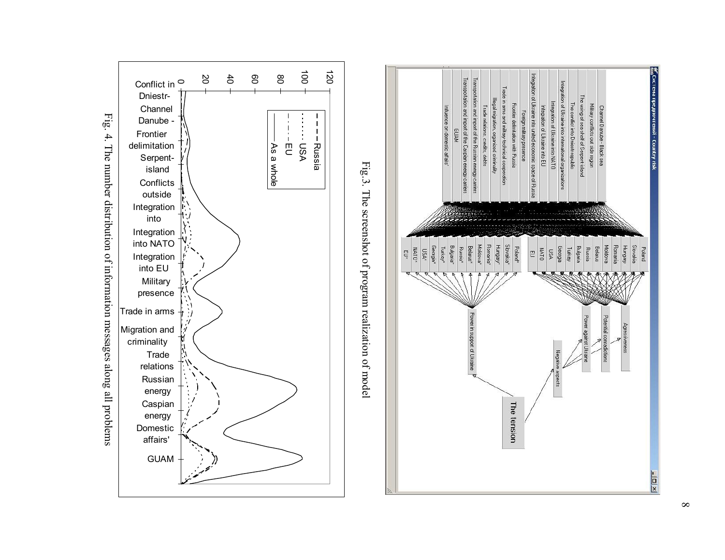



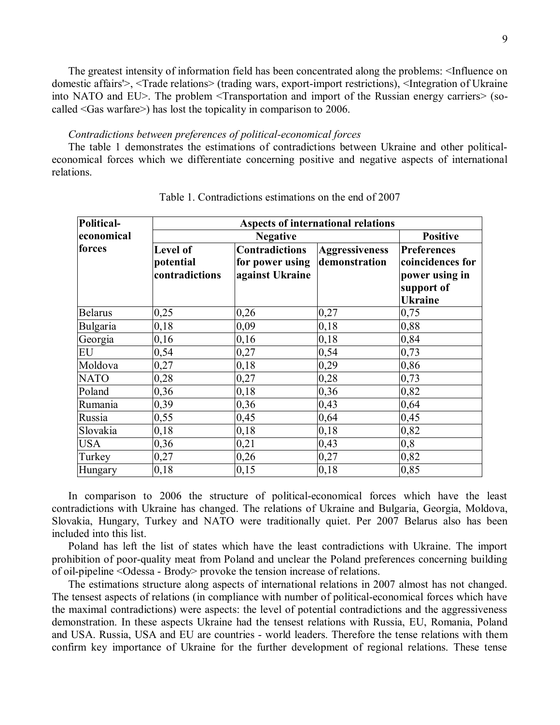The greatest intensity of information field has been concentrated along the problems: <Influence on domestic affairs'>, <Trade relations> (trading wars, export-import restrictions), <Integration of Ukraine into NATO and EU>. The problem <Transportation and import of the Russian energy carriers> (socalled <Gas warfare>) has lost the topicality in comparison to 2006.

#### *Contradictions between preferences of political-economical forces*

The table 1 demonstrates the estimations of contradictions between Ukraine and other politicaleconomical forces which we differentiate concerning positive and negative aspects of international relations.

| Political-  | Aspects of international relations             |                                                             |                                        |                                                                                          |
|-------------|------------------------------------------------|-------------------------------------------------------------|----------------------------------------|------------------------------------------------------------------------------------------|
| economical  | <b>Negative</b>                                |                                                             |                                        | <b>Positive</b>                                                                          |
| forces      | <b>Level of</b><br>potential<br>contradictions | <b>Contradictions</b><br>for power using<br>against Ukraine | <b>Aggressiveness</b><br>demonstration | <b>Preferences</b><br>coincidences for<br>power using in<br>support of<br><b>Ukraine</b> |
| Belarus     | 0,25                                           | 0,26                                                        | 0,27                                   | 0,75                                                                                     |
| Bulgaria    | 0,18                                           | 0,09                                                        | 0,18                                   | 0,88                                                                                     |
| Georgia     | 0,16                                           | 0,16                                                        | 0,18                                   | 0,84                                                                                     |
| <b>EU</b>   | 0,54                                           | 0,27                                                        | 0,54                                   | 0,73                                                                                     |
| Moldova     | 0,27                                           | 0,18                                                        | 0,29                                   | 0,86                                                                                     |
| <b>NATO</b> | 0,28                                           | 0,27                                                        | 0,28                                   | 0,73                                                                                     |
| Poland      | 0,36                                           | 0,18                                                        | 0,36                                   | 0,82                                                                                     |
| Rumania     | 0,39                                           | 0,36                                                        | 0,43                                   | 0,64                                                                                     |
| Russia      | 0,55                                           | 0,45                                                        | 0,64                                   | 0,45                                                                                     |
| Slovakia    | 0,18                                           | 0,18                                                        | 0,18                                   | 0,82                                                                                     |
| <b>USA</b>  | 0,36                                           | 0,21                                                        | 0,43                                   | 0,8                                                                                      |
| Turkey      | 0,27                                           | 0,26                                                        | 0,27                                   | 0,82                                                                                     |
| Hungary     | 0,18                                           | 0,15                                                        | 0,18                                   | 0,85                                                                                     |

Table 1. Contradictions estimations on the end of 2007

In comparison to 2006 the structure of political-economical forces which have the least contradictions with Ukraine has changed. The relations of Ukraine and Bulgaria, Georgia, Moldova, Slovakia, Hungary, Turkey and NATO were traditionally quiet. Per 2007 Belarus also has been included into this list.

Poland has left the list of states which have the least contradictions with Ukraine. The import prohibition of poor-quality meat from Poland and unclear the Poland preferences concerning building of oil-pipeline <Odessa - Brody> provoke the tension increase of relations.

The estimations structure along aspects of international relations in 2007 almost has not changed. The tensest aspects of relations (in compliance with number of political-economical forces which have the maximal contradictions) were aspects: the level of potential contradictions and the aggressiveness demonstration. In these aspects Ukraine had the tensest relations with Russia, EU, Romania, Poland and USA. Russia, USA and EU are countries - world leaders. Therefore the tense relations with them confirm key importance of Ukraine for the further development of regional relations. These tense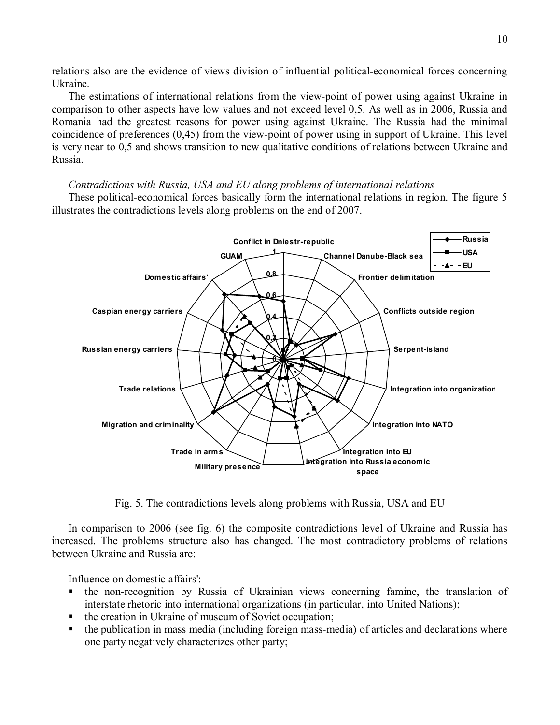relations also are the evidence of views division of influential political-economical forces concerning Ukraine.

The estimations of international relations from the view-point of power using against Ukraine in comparison to other aspects have low values and not exceed level 0,5. As well as in 2006, Russia and Romania had the greatest reasons for power using against Ukraine. The Russia had the minimal coincidence of preferences (0,45) from the view-point of power using in support of Ukraine. This level is very near to 0,5 and shows transition to new qualitative conditions of relations between Ukraine and Russia.

## *Contradictions with Russia, USA and EU along problems of international relations*

These political-economical forces basically form the international relations in region. The figure 5 illustrates the contradictions levels along problems on the end of 2007.



Fig. 5. The contradictions levels along problems with Russia, USA and EU

In comparison to 2006 (see fig. 6) the composite contradictions level of Ukraine and Russia has increased. The problems structure also has changed. The most contradictory problems of relations between Ukraine and Russia are:

Influence on domestic affairs':

- the non-recognition by Russia of Ukrainian views concerning famine, the translation of interstate rhetoric into international organizations (in particular, into United Nations);
- the creation in Ukraine of museum of Soviet occupation;
- the publication in mass media (including foreign mass-media) of articles and declarations where one party negatively characterizes other party;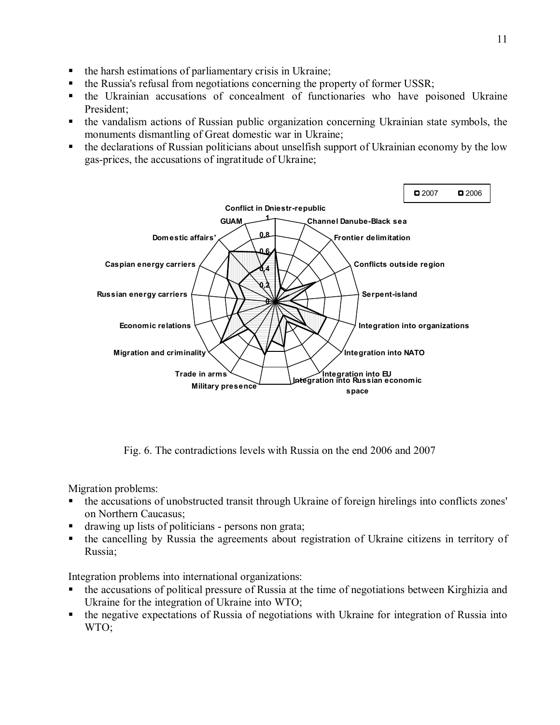- the harsh estimations of parliamentary crisis in Ukraine;
- the Russia's refusal from negotiations concerning the property of former USSR;
- the Ukrainian accusations of concealment of functionaries who have poisoned Ukraine President;
- § the vandalism actions of Russian public organization concerning Ukrainian state symbols, the monuments dismantling of Great domestic war in Ukraine;
- the declarations of Russian politicians about unselfish support of Ukrainian economy by the low gas-prices, the accusations of ingratitude of Ukraine;



Fig. 6. The contradictions levels with Russia on the end 2006 and 2007

Migration problems:

- the accusations of unobstructed transit through Ukraine of foreign hirelings into conflicts zones' on Northern Caucasus;
- drawing up lists of politicians persons non grata;
- the cancelling by Russia the agreements about registration of Ukraine citizens in territory of Russia;

Integration problems into international organizations:

- the accusations of political pressure of Russia at the time of negotiations between Kirghizia and Ukraine for the integration of Ukraine into WTO;
- the negative expectations of Russia of negotiations with Ukraine for integration of Russia into WTO;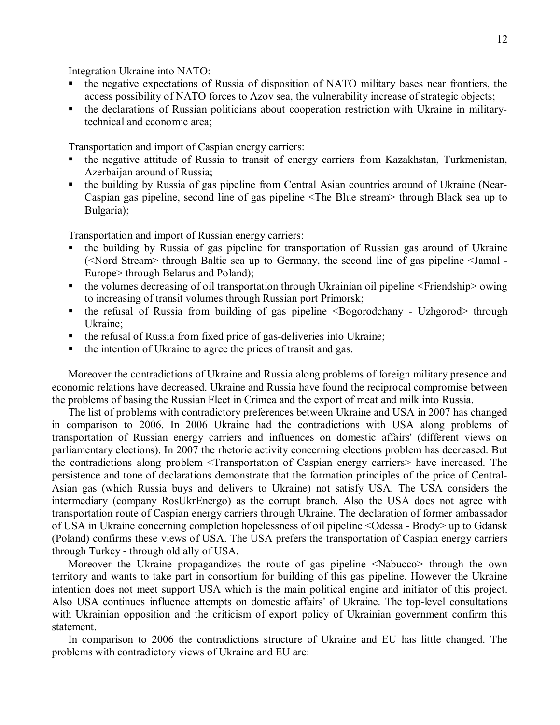Integration Ukraine into NATO:

- the negative expectations of Russia of disposition of NATO military bases near frontiers, the access possibility of NATO forces to Azov sea, the vulnerability increase of strategic objects;
- the declarations of Russian politicians about cooperation restriction with Ukraine in militarytechnical and economic area;

Transportation and import of Caspian energy carriers:

- the negative attitude of Russia to transit of energy carriers from Kazakhstan, Turkmenistan, Azerbaijan around of Russia;
- the building by Russia of gas pipeline from Central Asian countries around of Ukraine (Near-Caspian gas pipeline, second line of gas pipeline <The Blue stream> through Black sea up to Bulgaria);

Transportation and import of Russian energy carriers:

- the building by Russia of gas pipeline for transportation of Russian gas around of Ukraine (<Nord Stream> through Baltic sea up to Germany, the second line of gas pipeline <Jamal - Europe> through Belarus and Poland);
- $\bullet$  the volumes decreasing of oil transportation through Ukrainian oil pipeline  $\leq$ Friendship $\geq$  owing to increasing of transit volumes through Russian port Primorsk;
- the refusal of Russia from building of gas pipeline <Bogorodchany Uzhgorod> through Ukraine;
- the refusal of Russia from fixed price of gas-deliveries into Ukraine;
- the intention of Ukraine to agree the prices of transit and gas.

Moreover the contradictions of Ukraine and Russia along problems of foreign military presence and economic relations have decreased. Ukraine and Russia have found the reciprocal compromise between the problems of basing the Russian Fleet in Crimea and the export of meat and milk into Russia.

The list of problems with contradictory preferences between Ukraine and USA in 2007 has changed in comparison to 2006. In 2006 Ukraine had the contradictions with USA along problems of transportation of Russian energy carriers and influences on domestic affairs' (different views on parliamentary elections). In 2007 the rhetoric activity concerning elections problem has decreased. But the contradictions along problem <Transportation of Caspian energy carriers> have increased. The persistence and tone of declarations demonstrate that the formation principles of the price of Central-Asian gas (which Russia buys and delivers to Ukraine) not satisfy USA. The USA considers the intermediary (company RosUkrEnergo) as the corrupt branch. Also the USA does not agree with transportation route of Caspian energy carriers through Ukraine. The declaration of former ambassador of USA in Ukraine concerning completion hopelessness of oil pipeline <Odessa - Brody> up to Gdansk (Poland) confirms these views of USA. The USA prefers the transportation of Caspian energy carriers through Turkey - through old ally of USA.

Moreover the Ukraine propagandizes the route of gas pipeline <Nabucco> through the own territory and wants to take part in consortium for building of this gas pipeline. However the Ukraine intention does not meet support USA which is the main political engine and initiator of this project. Also USA continues influence attempts on domestic affairs' of Ukraine. The top-level consultations with Ukrainian opposition and the criticism of export policy of Ukrainian government confirm this statement.

In comparison to 2006 the contradictions structure of Ukraine and EU has little changed. The problems with contradictory views of Ukraine and EU are: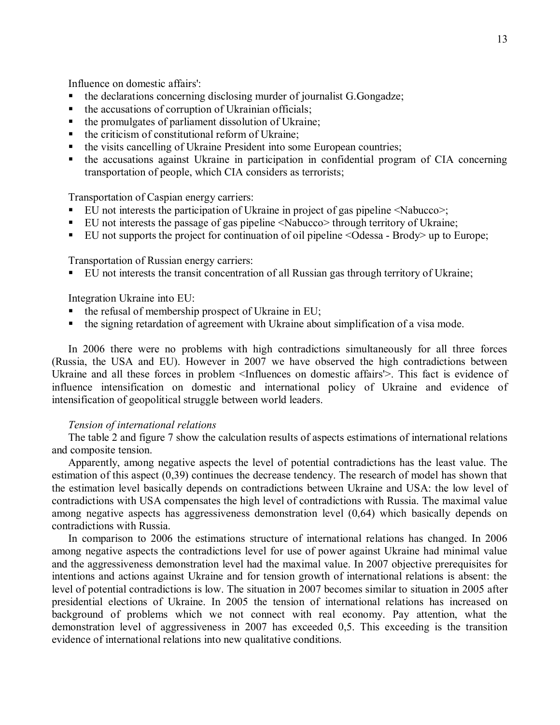Influence on domestic affairs':

- the declarations concerning disclosing murder of journalist G.Gongadze;
- the accusations of corruption of Ukrainian officials;
- the promulgates of parliament dissolution of Ukraine;
- $\blacksquare$  the criticism of constitutional reform of Ukraine;
- the visits cancelling of Ukraine President into some European countries;
- the accusations against Ukraine in participation in confidential program of CIA concerning transportation of people, which CIA considers as terrorists;

Transportation of Caspian energy carriers:

- EU not interests the participation of Ukraine in project of gas pipeline <Nabucco>;
- EU not interests the passage of gas pipeline <Nabucco> through territory of Ukraine;
- EU not supports the project for continuation of oil pipeline <Odessa Brody ≥up to Europe;

Transportation of Russian energy carriers:

§ EU not interests the transit concentration of all Russian gas through territory of Ukraine;

Integration Ukraine into EU:

- $\blacksquare$  the refusal of membership prospect of Ukraine in EU;
- the signing retardation of agreement with Ukraine about simplification of a visa mode.

In 2006 there were no problems with high contradictions simultaneously for all three forces (Russia, the USA and EU). However in 2007 we have observed the high contradictions between Ukraine and all these forces in problem <Influences on domestic affairs'>. This fact is evidence of influence intensification on domestic and international policy of Ukraine and evidence of intensification of geopolitical struggle between world leaders.

#### *Tension of international relations*

The table 2 and figure 7 show the calculation results of aspects estimations of international relations and composite tension.

Apparently, among negative aspects the level of potential contradictions has the least value. The estimation of this aspect (0,39) continues the decrease tendency. The research of model has shown that the estimation level basically depends on contradictions between Ukraine and USA: the low level of contradictions with USA compensates the high level of contradictions with Russia. The maximal value among negative aspects has aggressiveness demonstration level (0,64) which basically depends on contradictions with Russia.

In comparison to 2006 the estimations structure of international relations has changed. In 2006 among negative aspects the contradictions level for use of power against Ukraine had minimal value and the aggressiveness demonstration level had the maximal value. In 2007 objective prerequisites for intentions and actions against Ukraine and for tension growth of international relations is absent: the level of potential contradictions is low. The situation in 2007 becomes similar to situation in 2005 after presidential elections of Ukraine. In 2005 the tension of international relations has increased on background of problems which we not connect with real economy. Pay attention, what the demonstration level of aggressiveness in 2007 has exceeded 0,5. This exceeding is the transition evidence of international relations into new qualitative conditions.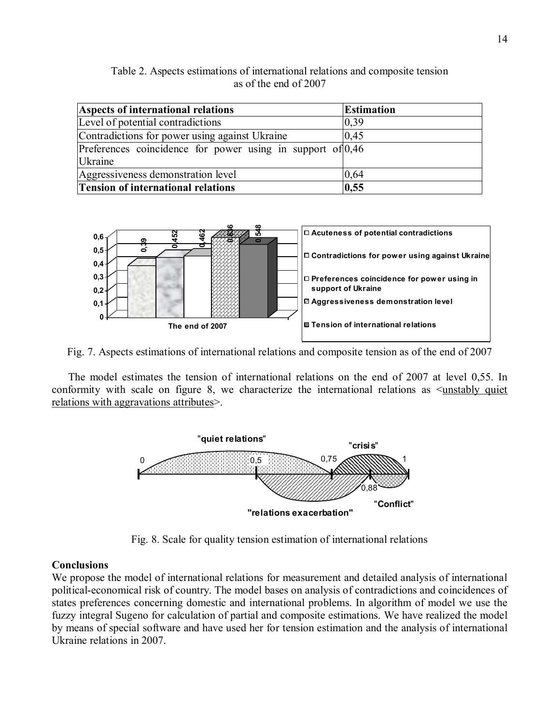Table 2. Aspects estimations of international relations and composite tension as of the end of 2007

| Aspects of international relations                           | <b>Estimation</b> |
|--------------------------------------------------------------|-------------------|
| Level of potential contradictions                            | 0.39              |
| Contradictions for power using against Ukraine               | 0.45              |
| Preferences coincidence for power using in support of $0,46$ |                   |
| <i><u><b>Ukraine</b></u></i>                                 |                   |
| Aggressiveness demonstration level                           | 0,64              |
| <b>Tension of international relations</b>                    | 0,55              |



Fig. 7. Aspects estimations of international relations and composite tension as of the end of 2007

The model estimates the tension of international relations on the end of 2007 at level 0,55. In conformity with scale on figure 8, we characterize the international relations as <unstably quiet relations with aggravations attributes>.



Fig. 8. Scale for quality tension estimation of international relations

## **Conclusions**

We propose the model of international relations for measurement and detailed analysis of international political-economical risk of country. The model bases on analysis of contradictions and coincidences of states preferences concerning domestic and international problems. In algorithm of model we use the fuzzy integral Sugeno for calculation of partial and composite estimations. We have realized the model by means of special software and have used her for tension estimation and the analysis of international Ukraine relations in 2007.